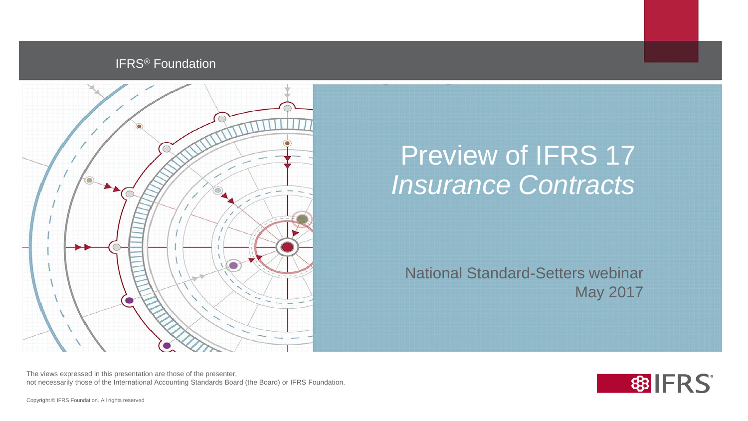#### **IFRS<sup>®</sup> Foundation**



#### Preview of IFRS 17 *Insurance Contracts*

National Standard-Setters webinar May 2017

The views expressed in this presentation are those of the presenter, not necessarily those of the International Accounting Standards Board (the Board) or IFRS Foundation.

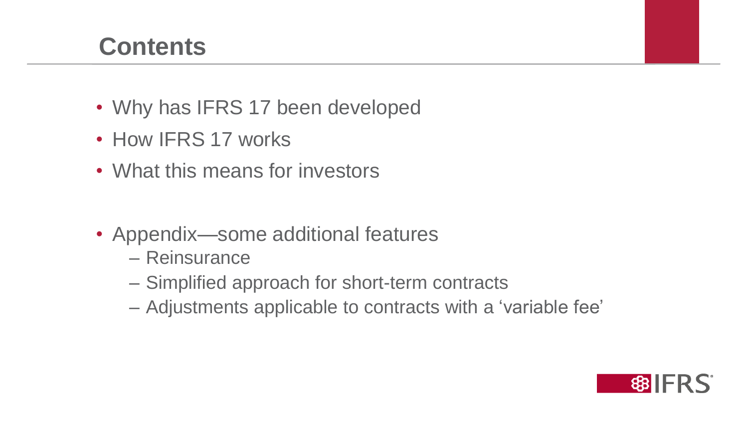#### **Contents**

- Why has IFRS 17 been developed
- How IFRS 17 works
- What this means for investors
- Appendix—some additional features
	- Reinsurance
	- Simplified approach for short-term contracts
	- Adjustments applicable to contracts with a 'variable fee'

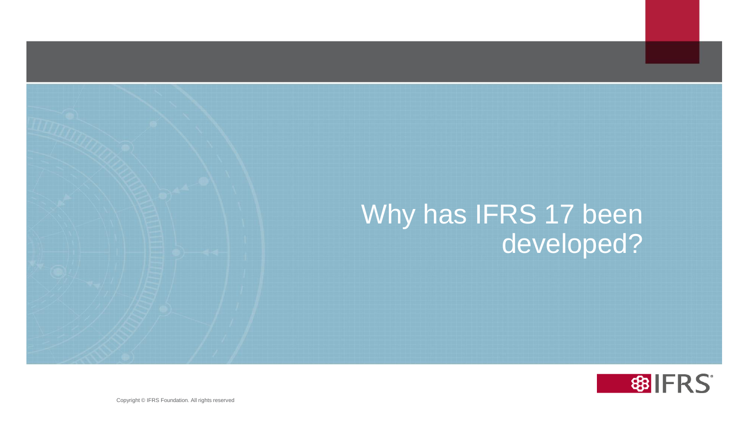#### Why has IFRS 17 been developed?



3 3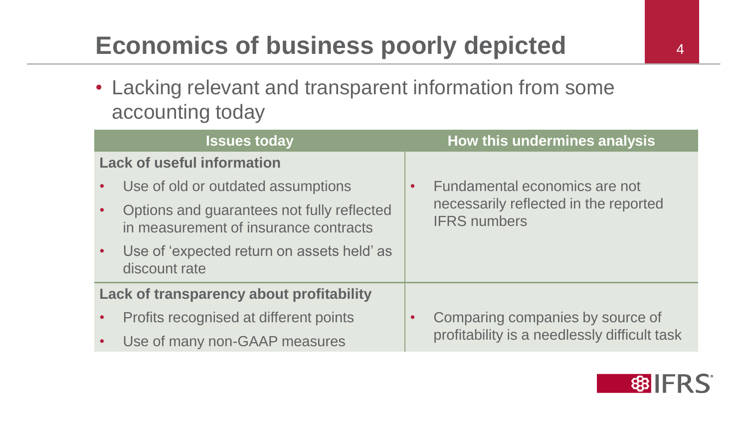# **Economics of business poorly depicted 44 August** 4

• Lacking relevant and transparent information from some accounting today

|                                          | <b>Issues today</b>                                                                 | How this undermines analysis                                 |
|------------------------------------------|-------------------------------------------------------------------------------------|--------------------------------------------------------------|
|                                          | <b>Lack of useful information</b>                                                   |                                                              |
|                                          | Use of old or outdated assumptions                                                  | Fundamental economics are not<br>$\bullet$                   |
|                                          | Options and guarantees not fully reflected<br>in measurement of insurance contracts | necessarily reflected in the reported<br><b>IFRS numbers</b> |
|                                          | Use of 'expected return on assets held' as<br>discount rate                         |                                                              |
| Lack of transparency about profitability |                                                                                     |                                                              |
|                                          | Profits recognised at different points                                              | Comparing companies by source of<br>$\bullet$                |
|                                          | Use of many non-GAAP measures                                                       | profitability is a needlessly difficult task                 |

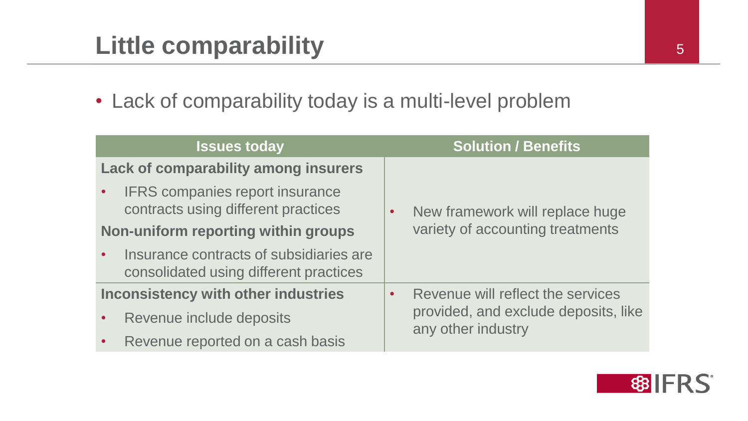## **Little comparability**

• Lack of comparability today is a multi-level problem

| <b>Issues today</b>                                                               | <b>Solution / Benefits</b>                     |
|-----------------------------------------------------------------------------------|------------------------------------------------|
| <b>Lack of comparability among insurers</b>                                       |                                                |
| <b>IFRS</b> companies report insurance<br>contracts using different practices     | New framework will replace huge<br>$\bullet$   |
| Non-uniform reporting within groups                                               | variety of accounting treatments               |
| Insurance contracts of subsidiaries are<br>consolidated using different practices |                                                |
| <b>Inconsistency with other industries</b>                                        | Revenue will reflect the services<br>$\bullet$ |
| Revenue include deposits                                                          | provided, and exclude deposits, like           |
| Revenue reported on a cash basis                                                  | any other industry                             |

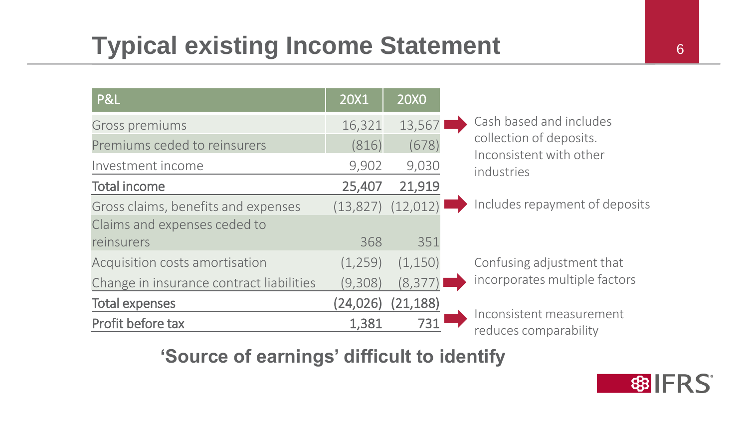## **Typical existing Income Statement** 6

| P&L                                      | 20X1      | <b>20X0</b>           |                                                    |
|------------------------------------------|-----------|-----------------------|----------------------------------------------------|
| Gross premiums                           | 16,321    | 13,567                | Cash based and includes                            |
| Premiums ceded to reinsurers             | (816)     | (678)                 | collection of deposits.<br>Inconsistent with other |
| Investment income                        | 9,902     | 9,030                 | industries                                         |
| <b>Total income</b>                      | 25,407    | 21,919                |                                                    |
| Gross claims, benefits and expenses      |           | $(13,827)$ $(12,012)$ | Includes repayment of deposits                     |
| Claims and expenses ceded to             |           |                       |                                                    |
| reinsurers                               | 368       | 351                   |                                                    |
| Acquisition costs amortisation           | (1,259)   | (1,150)               | Confusing adjustment that                          |
| Change in insurance contract liabilities | (9,308)   | (8, 377)              | incorporates multiple factors                      |
| <b>Total expenses</b>                    | (24, 026) | (21, 188)             |                                                    |
| Profit before tax                        | 1,381     | 731                   | Inconsistent measurement<br>reduces comparability  |

#### **'Source of earnings' difficult to identify**

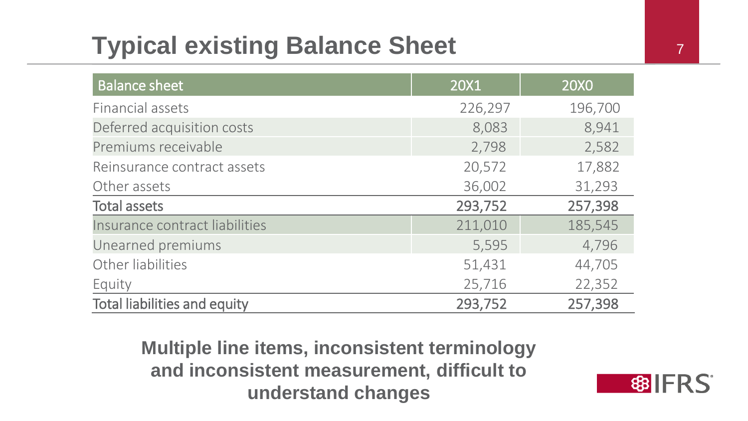#### **Typical existing Balance Sheet** <sup>7</sup> <sup>7</sup>

| <b>Balance sheet</b>                | 20X1    | <b>20X0</b> |
|-------------------------------------|---------|-------------|
| Financial assets                    | 226,297 | 196,700     |
| Deferred acquisition costs          | 8,083   | 8,941       |
| Premiums receivable                 | 2,798   | 2,582       |
| Reinsurance contract assets         | 20,572  | 17,882      |
| Other assets                        | 36,002  | 31,293      |
| <b>Total assets</b>                 | 293,752 | 257,398     |
| Insurance contract liabilities      | 211,010 | 185,545     |
| Unearned premiums                   | 5,595   | 4,796       |
| Other liabilities                   | 51,431  | 44,705      |
| Equity                              | 25,716  | 22,352      |
| <b>Total liabilities and equity</b> | 293,752 | 257,398     |

**Multiple line items, inconsistent terminology and inconsistent measurement, difficult to understand changes**

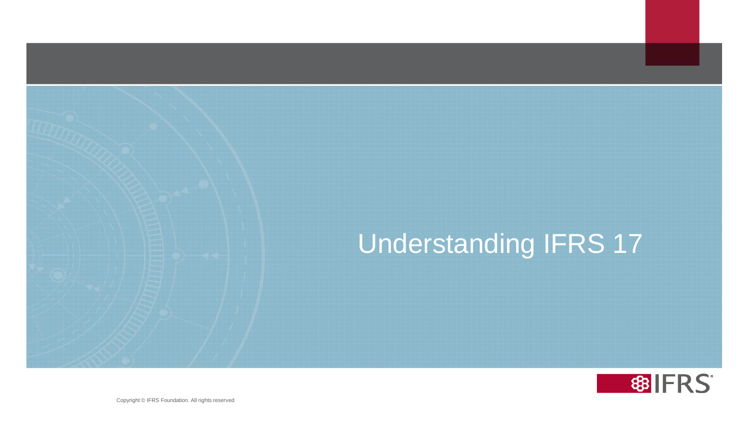# Understanding IFRS 17



8 8 8 8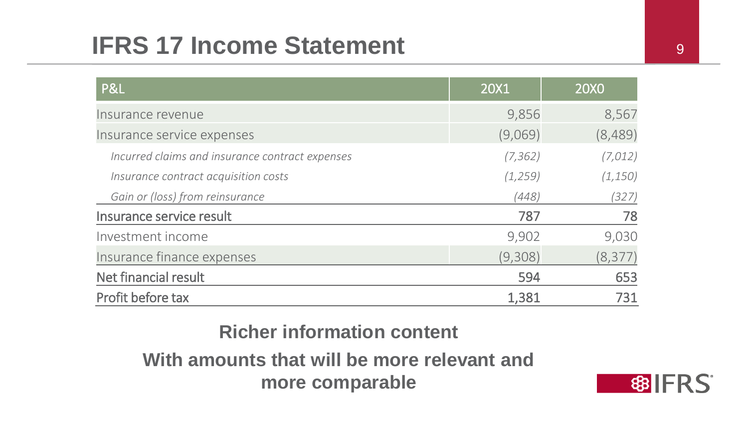#### **IFRS 17 Income Statement** <sup>9</sup> <sup>9</sup>

| <b>P&amp;L</b>                                  | 20X1     | <b>20X0</b> |
|-------------------------------------------------|----------|-------------|
| Insurance revenue                               | 9,856    | 8,567       |
| Insurance service expenses                      | (9,069)  | (8,489)     |
| Incurred claims and insurance contract expenses | (7, 362) | (7,012)     |
| Insurance contract acquisition costs            | (1, 259) | (1, 150)    |
| Gain or (loss) from reinsurance                 | (448)    | (327)       |
| Insurance service result                        | 787      | 78          |
| Investment income                               | 9,902    | 9,030       |
| Insurance finance expenses                      | (9,308)  | (8, 377)    |
| Net financial result                            | 594      | 653         |
| Profit before tax                               | 1,381    | 731         |

**Richer information content**

**With amounts that will be more relevant and more comparable**

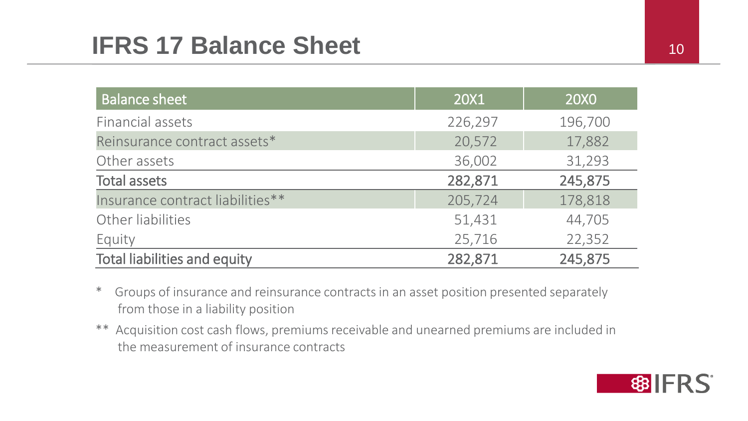#### **IFRS 17 Balance Sheet** 10 10 10

| <b>Balance sheet</b>                | 20X1    | 20X0    |
|-------------------------------------|---------|---------|
| Financial assets                    | 226,297 | 196,700 |
| Reinsurance contract assets*        | 20,572  | 17,882  |
| Other assets                        | 36,002  | 31,293  |
| <b>Total assets</b>                 | 282,871 | 245,875 |
| Insurance contract liabilities**    | 205,724 | 178,818 |
| Other liabilities                   | 51,431  | 44,705  |
| Equity                              | 25,716  | 22,352  |
| <b>Total liabilities and equity</b> | 282,871 | 245,875 |

- \* Groups of insurance and reinsurance contracts in an asset position presented separately from those in a liability position
- \*\* Acquisition cost cash flows, premiums receivable and unearned premiums are included in the measurement of insurance contracts

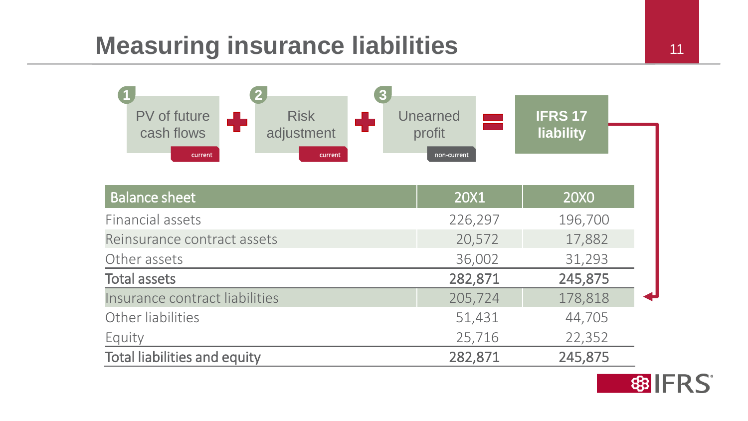#### **Measuring insurance liabilities** 11



| <b>Balance sheet</b>                | 20X1    | 20X0    |
|-------------------------------------|---------|---------|
| Financial assets                    | 226,297 | 196,700 |
| Reinsurance contract assets         | 20,572  | 17,882  |
| Other assets                        | 36,002  | 31,293  |
| <b>Total assets</b>                 | 282,871 | 245,875 |
| Insurance contract liabilities      | 205,724 | 178,818 |
| Other liabilities                   | 51,431  | 44,705  |
| Equity                              | 25,716  | 22,352  |
| <b>Total liabilities and equity</b> | 282,871 | 245,875 |

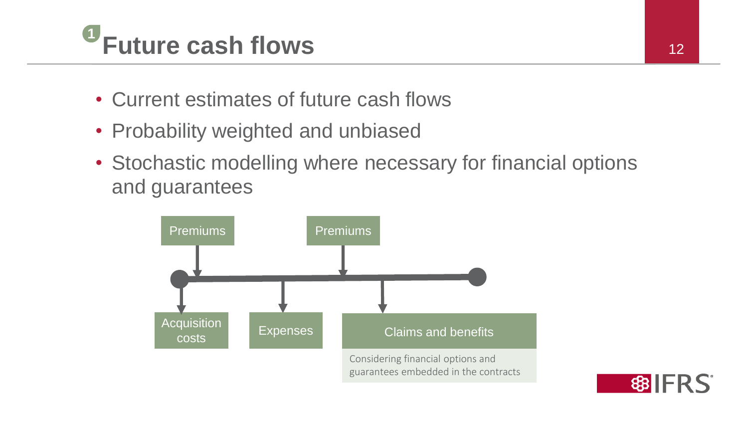

- Current estimates of future cash flows
- Probability weighted and unbiased
- Stochastic modelling where necessary for financial options and guarantees



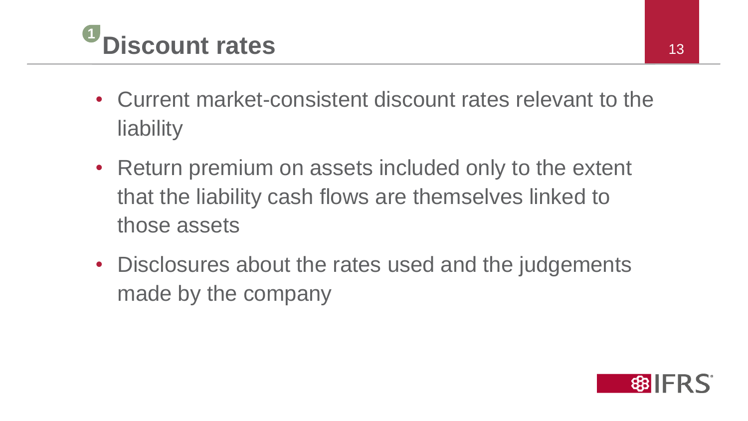

- Current market-consistent discount rates relevant to the liability
- Return premium on assets included only to the extent that the liability cash flows are themselves linked to those assets
- Disclosures about the rates used and the judgements made by the company

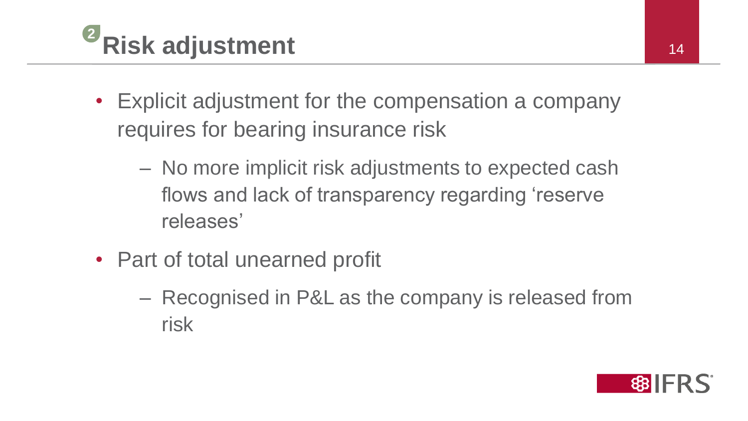

- Explicit adjustment for the compensation a company requires for bearing insurance risk
	- No more implicit risk adjustments to expected cash flows and lack of transparency regarding 'reserve releases'
- Part of total unearned profit
	- Recognised in P&L as the company is released from risk

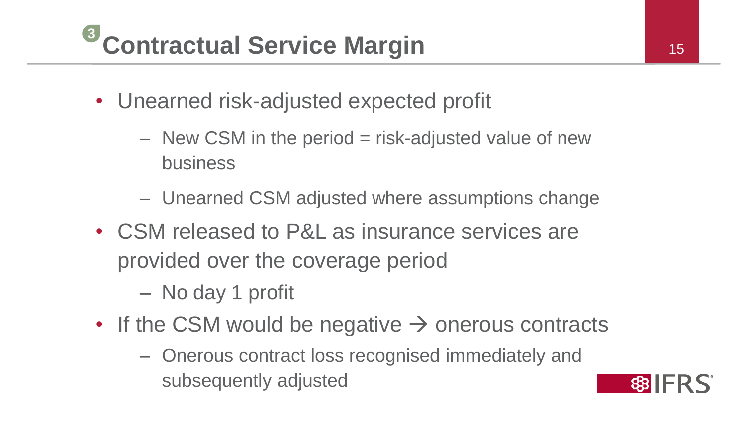#### **Contractual Service Margin** 15 **3**

- Unearned risk-adjusted expected profit
	- $-$  New CSM in the period  $=$  risk-adjusted value of new business
	- Unearned CSM adjusted where assumptions change
- CSM released to P&L as insurance services are provided over the coverage period
	- No day 1 profit
- If the CSM would be negative  $\rightarrow$  onerous contracts
	- Onerous contract loss recognised immediately and subsequently adjusted

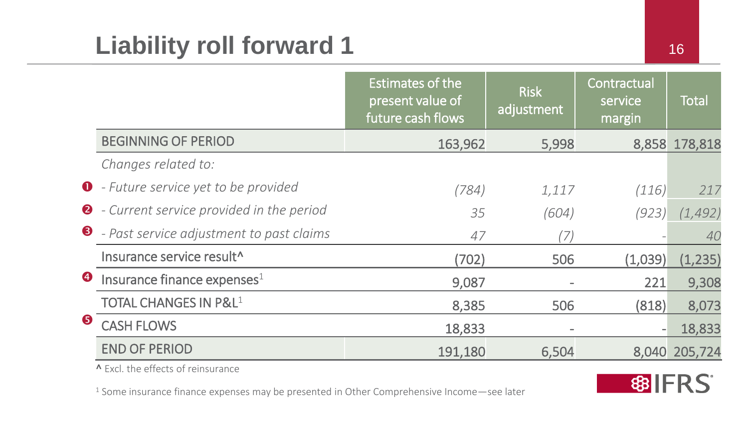|           |                                                    | Estimates of the<br>present value of<br>future cash flows | <b>Risk</b><br>adjustment | Contractual<br>service<br>margin | <b>Total</b>  |
|-----------|----------------------------------------------------|-----------------------------------------------------------|---------------------------|----------------------------------|---------------|
|           | <b>BEGINNING OF PERIOD</b>                         | 163,962                                                   | 5,998                     |                                  | 8,858 178,818 |
|           | Changes related to:                                |                                                           |                           |                                  |               |
|           | <b>O</b> - Future service yet to be provided       | (784)                                                     | 1,117                     | (116)                            | 217           |
|           | <b>2</b> - Current service provided in the period  | 35                                                        | (604)                     | (923)                            | (1, 492)      |
|           | $\bullet$ - Past service adjustment to past claims | 47                                                        | 17.                       |                                  | 40            |
|           | Insurance service result <sup>^</sup>              | (702)                                                     | 506                       | (1,039)                          | (1, 235)      |
| $\bullet$ | Insurance finance expenses $1$                     | 9,087                                                     |                           | 221                              | 9,308         |
|           | <b>TOTAL CHANGES IN P&amp;L1</b>                   | 8,385                                                     | 506                       | (818)                            | 8,073         |
| 6         | <b>CASH FLOWS</b>                                  | 18,833                                                    | $\overline{\phantom{a}}$  |                                  | 18,833        |
|           | <b>END OF PERIOD</b>                               | 191,180                                                   | 6,504                     | 8,040                            | 205,724       |

^ Excl. the effects of reinsurance

<sup>1</sup> Some insurance finance expenses may be presented in Other Comprehensive Income—see later

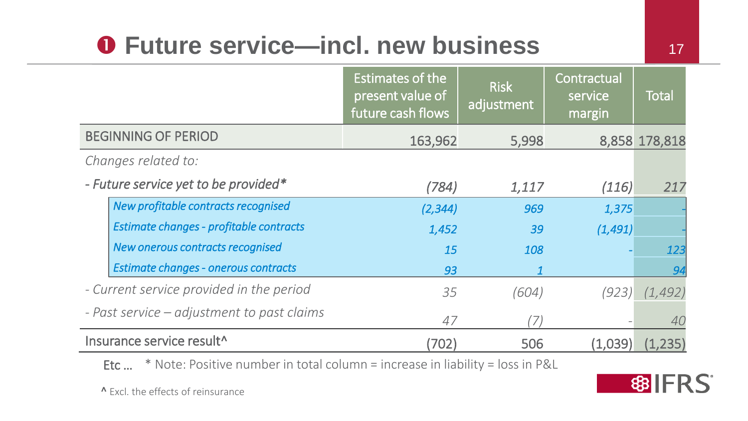## **O** Future service—incl. new business 17

|                                            | <b>Estimates of the</b><br>present value of<br>future cash flows | <b>Risk</b><br>adjustment | Contractual<br>service<br>margin | Total             |
|--------------------------------------------|------------------------------------------------------------------|---------------------------|----------------------------------|-------------------|
| <b>BEGINNING OF PERIOD</b>                 | 163,962                                                          | 5,998                     |                                  | 8,858 178,818     |
| Changes related to:                        |                                                                  |                           |                                  |                   |
| - Future service yet to be provided*       | (784)                                                            | 1,117                     | (116)                            | 217               |
| New profitable contracts recognised        | (2, 344)                                                         | 969                       | 1,375                            |                   |
| Estimate changes - profitable contracts    | 1,452                                                            | 39                        | (1, 491)                         |                   |
| New onerous contracts recognised           | 15                                                               | 108                       |                                  | 123               |
| Estimate changes - onerous contracts       | 93                                                               |                           |                                  | 94                |
| - Current service provided in the period   | 35                                                               | (604)                     |                                  | $(923)$ $(1,492)$ |
| - Past service – adjustment to past claims | 47                                                               | 7.                        |                                  | 40                |
| Insurance service result^                  | (702)                                                            | 506                       | (1,039)                          | (1,235)           |

Etc … \* Note: Positive number in total column = increase in liability = loss in P&L

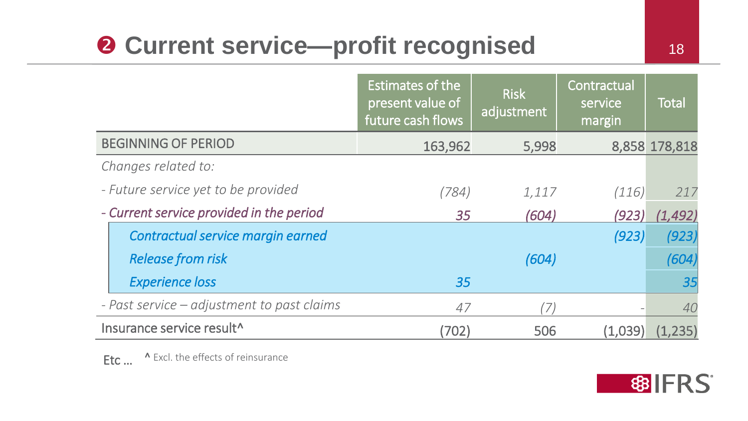# **2 Current service—profit recognised** 18

|                                       |                                            | Estimates of the<br>present value of<br>future cash flows | <b>Risk</b><br>adjustment | Contractual<br>service<br>margin | <b>Total</b>  |
|---------------------------------------|--------------------------------------------|-----------------------------------------------------------|---------------------------|----------------------------------|---------------|
|                                       | <b>BEGINNING OF PERIOD</b>                 | 163,962                                                   | 5,998                     |                                  | 8,858 178,818 |
|                                       | Changes related to:                        |                                                           |                           |                                  |               |
|                                       | - Future service yet to be provided        | (784)                                                     | 1,117                     | (116)                            | 217           |
|                                       | - Current service provided in the period   | 35                                                        | (604)                     | (923)                            | (1,492)       |
|                                       | Contractual service margin earned          |                                                           |                           | (923)                            | (923)         |
|                                       | <b>Release from risk</b>                   |                                                           | (604)                     |                                  | (604)         |
|                                       | <b>Experience loss</b>                     | 35                                                        |                           |                                  | 35            |
|                                       | - Past service – adjustment to past claims | 47                                                        | (7)                       |                                  | 40            |
| Insurance service result <sup>^</sup> |                                            | (702)                                                     | 506                       | (1,039)                          | (1,235)       |

Etc ... A Excl. the effects of reinsurance

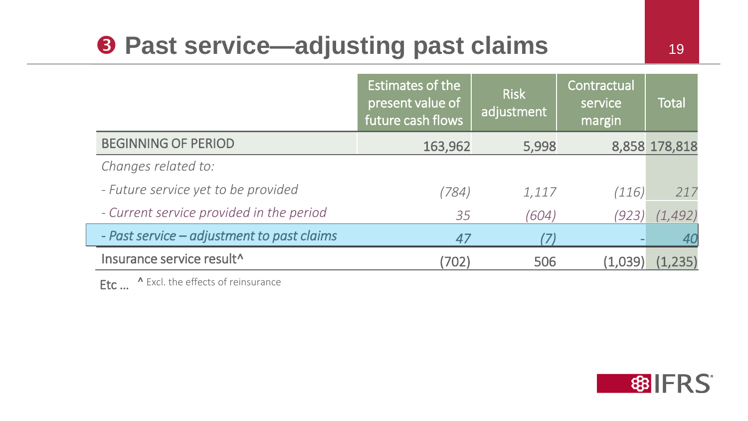#### **8 Past service—adjusting past claims**

|                                            | <b>Estimates of the</b><br>present value of<br>future cash flows | <b>Risk</b><br>adjustment | Contractual<br>service<br>margin | <b>Total</b>  |
|--------------------------------------------|------------------------------------------------------------------|---------------------------|----------------------------------|---------------|
| <b>BEGINNING OF PERIOD</b>                 | 163,962                                                          | 5,998                     |                                  | 8,858 178,818 |
| Changes related to:                        |                                                                  |                           |                                  |               |
| - Future service yet to be provided        | (784)                                                            | 1,117                     | (116)                            | 217           |
| - Current service provided in the period   | 35                                                               | (604)                     | (923)                            | (1,492)       |
| - Past service – adjustment to past claims | 47                                                               |                           |                                  | 40            |
| Insurance service result^                  | (702)                                                            | 506                       | (1,039)                          | (1, 235)      |

Etc ... ^ Excl. the effects of reinsurance

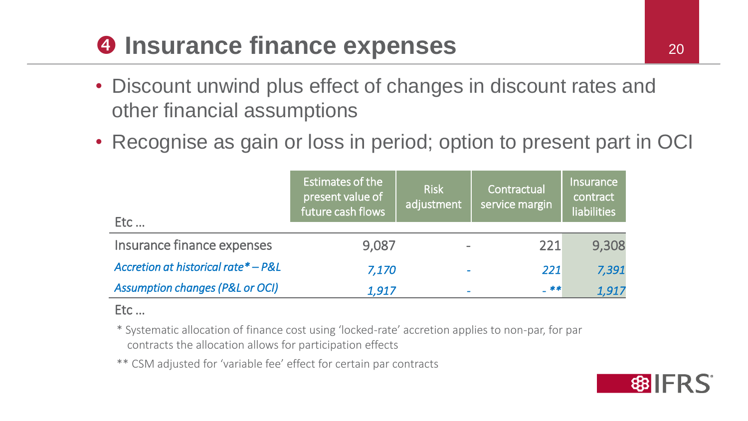## **a** Insurance finance expenses 20

- Discount unwind plus effect of changes in discount rates and other financial assumptions
- Recognise as gain or loss in period; option to present part in OCI

| Etc                                        | Estimates of the<br>present value of<br>future cash flows | <b>Risk</b><br>adjustment | Contractual<br>service margin | <b>Insurance</b><br>contract<br><b>liabilities</b> |
|--------------------------------------------|-----------------------------------------------------------|---------------------------|-------------------------------|----------------------------------------------------|
| Insurance finance expenses                 | 9,087                                                     |                           | 221                           | 9,308                                              |
| Accretion at historical rate* - P&L        | 7,170                                                     |                           | 221                           | 7,391                                              |
| <b>Assumption changes (P&amp;L or OCI)</b> | 1,917                                                     |                           | $-***$                        | 1,917                                              |

#### Etc …

\* Systematic allocation of finance cost using 'locked-rate' accretion applies to non-par, for par contracts the allocation allows for participation effects

\*\* CSM adjusted for 'variable fee' effect for certain par contracts

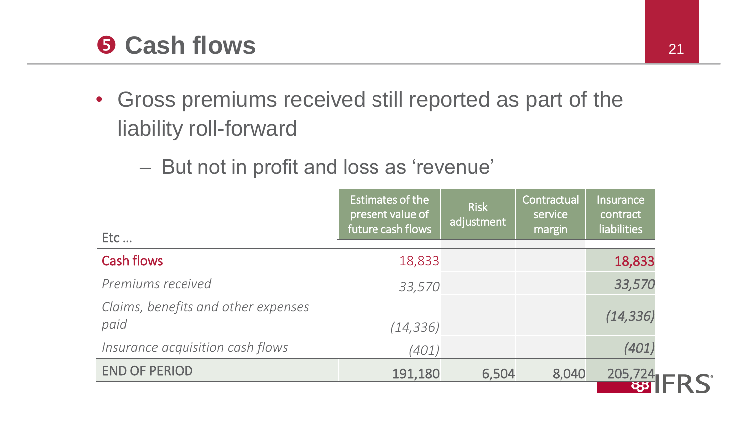#### **Cash flows** 21

- Gross premiums received still reported as part of the liability roll-forward
	- But not in profit and loss as 'revenue'

| Etc                                         | Estimates of the<br>present value of<br>future cash flows | <b>Risk</b><br>adjustment | Contractual<br>service<br>margin | <b>Insurance</b><br>contract<br><b>liabilities</b> |
|---------------------------------------------|-----------------------------------------------------------|---------------------------|----------------------------------|----------------------------------------------------|
| <b>Cash flows</b>                           | 18,833                                                    |                           |                                  | 18,833                                             |
| Premiums received                           | 33,570                                                    |                           |                                  | 33,570                                             |
| Claims, benefits and other expenses<br>paid | (14, 336)                                                 |                           |                                  | (14, 336)                                          |
| Insurance acquisition cash flows            | (401)                                                     |                           |                                  | (401)                                              |
| <b>END OF PERIOD</b>                        | 191,180                                                   | 6,504                     | 8,040                            | 205,724                                            |
|                                             |                                                           |                           |                                  |                                                    |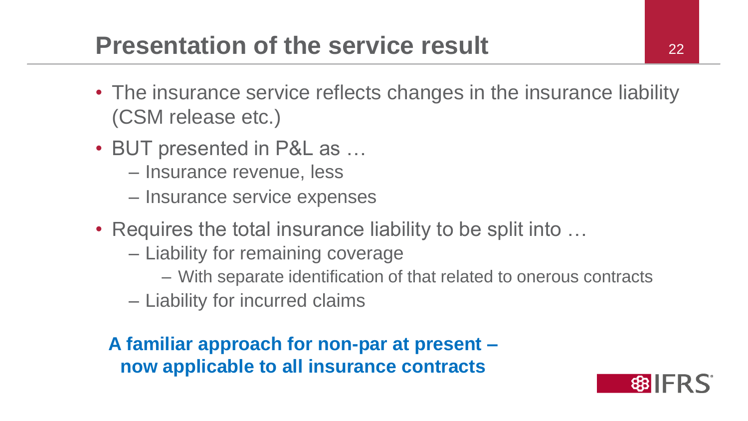#### **Presentation of the service result** 22

- The insurance service reflects changes in the insurance liability (CSM release etc.)
- BUT presented in P&L as …
	- Insurance revenue, less
	- Insurance service expenses
- Requires the total insurance liability to be split into ...
	- Liability for remaining coverage
		- With separate identification of that related to onerous contracts
	- Liability for incurred claims

**A familiar approach for non-par at present – now applicable to all insurance contracts**

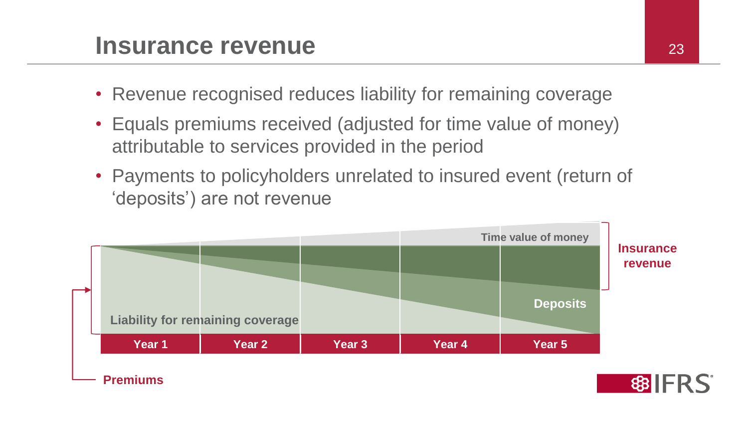#### **Insurance revenue** 23

- Revenue recognised reduces liability for remaining coverage
- Equals premiums received (adjusted for time value of money) attributable to services provided in the period
- Payments to policyholders unrelated to insured event (return of 'deposits') are not revenue

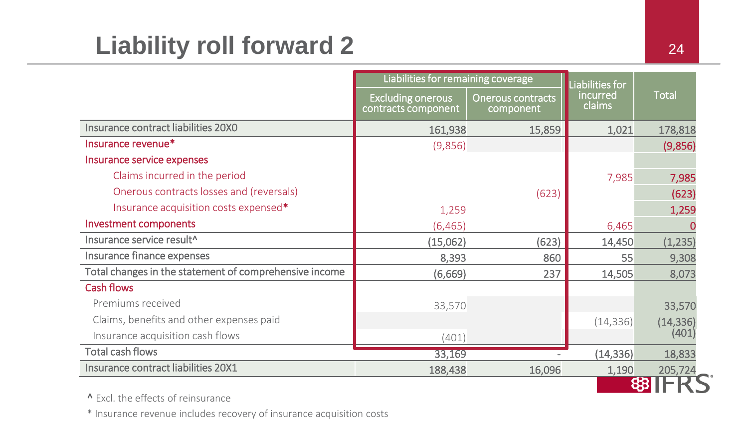## Liability roll forward 2

|                                                        | Liabilities for remaining coverage              |                                       | Liabilities for    |               |
|--------------------------------------------------------|-------------------------------------------------|---------------------------------------|--------------------|---------------|
|                                                        | <b>Excluding onerous</b><br>contracts component | <b>Onerous contracts</b><br>component | incurred<br>claims | <b>Total</b>  |
| Insurance contract liabilities 20X0                    | 161,938                                         | 15,859                                | 1,021              | 178,818       |
| Insurance revenue*                                     | (9,856)                                         |                                       |                    | (9,856)       |
| Insurance service expenses                             |                                                 |                                       |                    |               |
| Claims incurred in the period                          |                                                 |                                       | 7,985              | 7,985         |
| Onerous contracts losses and (reversals)               |                                                 | (623)                                 |                    | (623)         |
| Insurance acquisition costs expensed*                  | 1,259                                           |                                       |                    | 1,259         |
| <b>Investment components</b>                           | (6, 465)                                        |                                       | 6,465              |               |
| Insurance service result^                              | (15,062)                                        | (623)                                 | 14,450             | (1, 235)      |
| Insurance finance expenses                             | 8,393                                           | 860                                   | 55                 | 9,308         |
| Total changes in the statement of comprehensive income | (6,669)                                         | 237                                   | 14,505             | 8,073         |
| <b>Cash flows</b>                                      |                                                 |                                       |                    |               |
| Premiums received                                      | 33,570                                          |                                       |                    | 33,570        |
| Claims, benefits and other expenses paid               |                                                 |                                       | (14, 336)          | (14, 336)     |
| Insurance acquisition cash flows                       | (401)                                           |                                       |                    | (401)         |
| <b>Total cash flows</b>                                | 33,169                                          |                                       | (14, 336)          | 18,833        |
| Insurance contract liabilities 20X1                    | 188,438                                         | 16,096                                | 1,190              | 205,724<br>60 |

^ Excl. the effects of reinsurance

\* Insurance revenue includes recovery of insurance acquisition costs

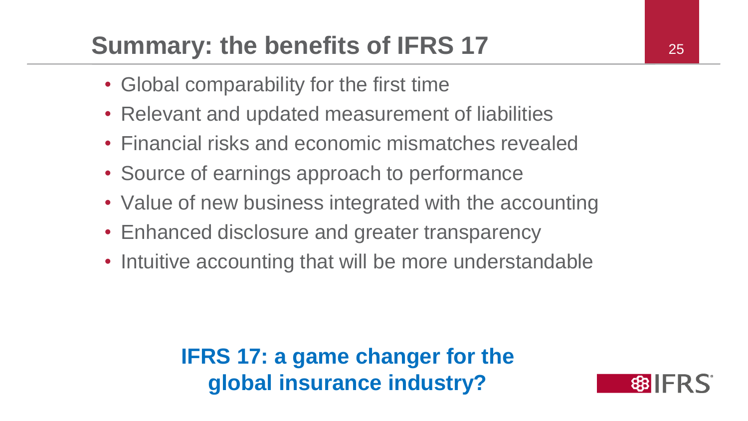## **Summary: the benefits of IFRS 17** 25

- Global comparability for the first time
- Relevant and updated measurement of liabilities
- Financial risks and economic mismatches revealed
- Source of earnings approach to performance
- Value of new business integrated with the accounting
- Enhanced disclosure and greater transparency
- Intuitive accounting that will be more understandable

**IFRS 17: a game changer for the global insurance industry?**

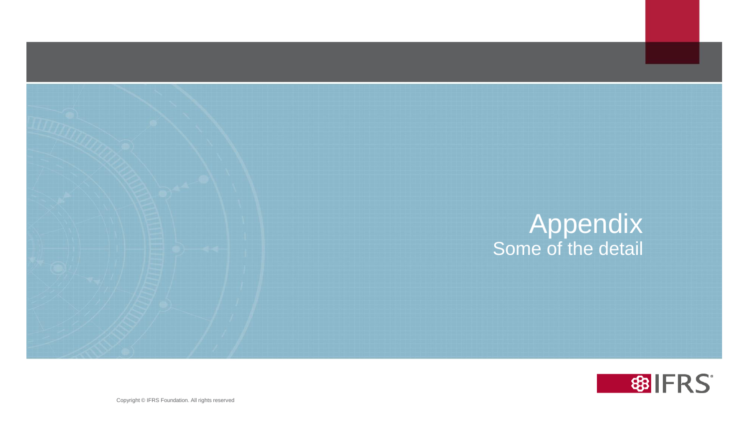



26 26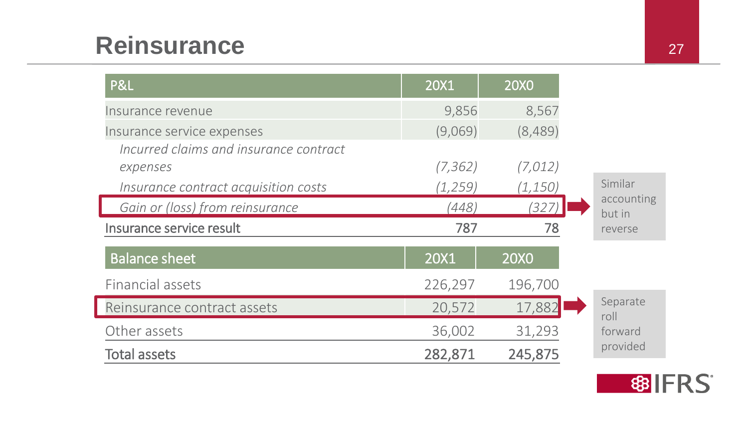#### **Reinsurance** 27

| P&L                                    | 20X1     | <b>20X0</b> |                      |
|----------------------------------------|----------|-------------|----------------------|
| Insurance revenue                      | 9,856    | 8,567       |                      |
| Insurance service expenses             | (9,069)  | (8,489)     |                      |
| Incurred claims and insurance contract |          |             |                      |
| expenses                               | (7, 362) | (7,012)     |                      |
| Insurance contract acquisition costs   | (1, 259) | (1, 150)    | Similar              |
| Gain or (loss) from reinsurance        | (448)    | (327)       | accounting<br>but in |
| Insurance service result               | 787      | 78          | reverse              |
| <b>Balance sheet</b>                   | 20X1     | <b>20X0</b> |                      |
| Financial assets                       | 226,297  | 196,700     |                      |
| Reinsurance contract assets            | 20,572   | 17,882      | Separate<br>roll     |
| Other assets                           | 36,002   | 31,293      | forward              |
| <b>Total assets</b>                    | 282,871  | 245,875     | provided             |

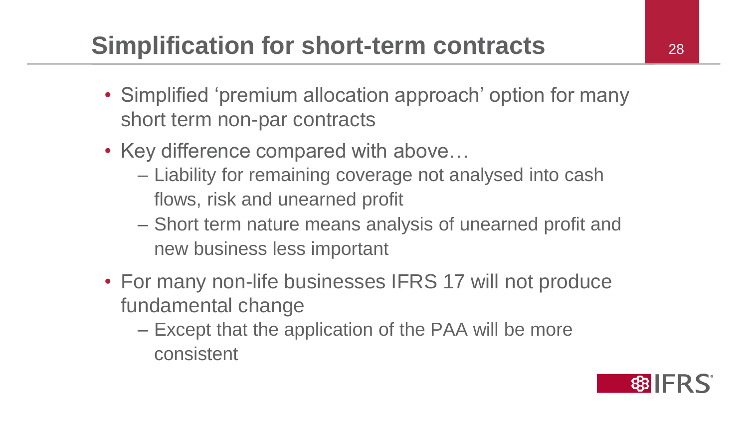## **Simplification for short-term contracts** 28

- Simplified 'premium allocation approach' option for many short term non-par contracts
- Key difference compared with above...
	- Liability for remaining coverage not analysed into cash flows, risk and unearned profit
	- Short term nature means analysis of unearned profit and new business less important
- For many non-life businesses IFRS 17 will not produce fundamental change
	- Except that the application of the PAA will be more consistent

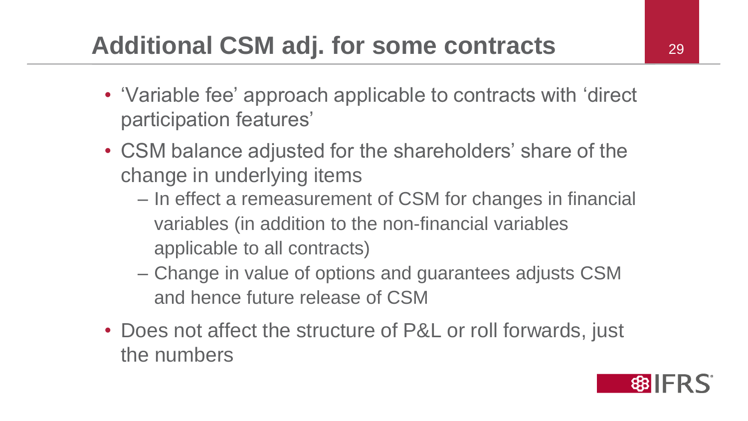- 'Variable fee' approach applicable to contracts with 'direct participation features'
- CSM balance adjusted for the shareholders' share of the change in underlying items
	- In effect a remeasurement of CSM for changes in financial variables (in addition to the non-financial variables applicable to all contracts)
	- Change in value of options and guarantees adjusts CSM and hence future release of CSM
- Does not affect the structure of P&L or roll forwards, just the numbers